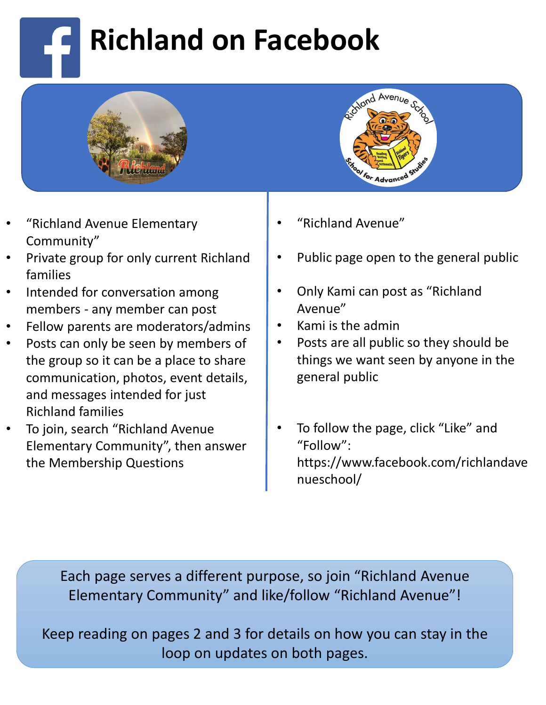## Richland on Facebook





- "Richland Avenue Elementary Community"
- families
- Intended for conversation among
- 
- Posts can only be seen by members of the group so it can be a place to share communication, photos, event details, and messages intended for just Richland families
- To join, search "Richland Avenue Elementary Community", then answer the Membership Questions
- "Richland Avenue"
- Public page open to the general public
- Only Kami can post as "Richland Avenue"
- Kami is the admin
- Posts are all public so they should be things we want seen by anyone in the general public
- To follow the page, click "Like" and "Follow": https://www.facebook.com/richlandave nueschool/

Each page serves a different purpose, so join "Richland Avenue Elementary Community" and like/follow "Richland Avenue"!

Keep reading on pages 2 and 3 for details on how you can stay in the loop on updates on both pages.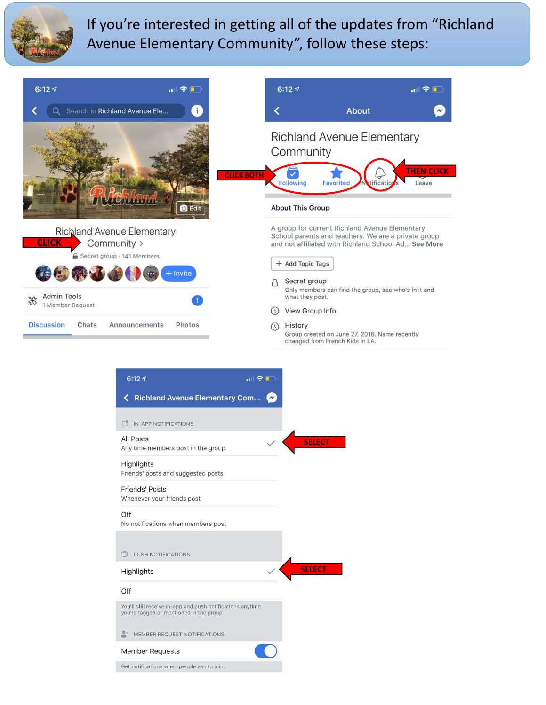

If you're interested in getting all of the updates from "Richland Avenue Elementary Community", follow these steps:



| 6:127                                                                                                  | $\blacksquare$             |
|--------------------------------------------------------------------------------------------------------|----------------------------|
| <b>Richland Avenue Elementary Com</b><br>≺                                                             | $\boldsymbol{\mathcal{N}}$ |
| IN-APP NOTIFICATIONS<br>$\begin{bmatrix} 1 \\ 1 \end{bmatrix}$                                         |                            |
| <b>All Posts</b><br>Any time members post in the group                                                 |                            |
| Highlights<br>Friends' posts and suggested posts                                                       |                            |
| <b>Friends' Posts</b><br>Whenever your friends post                                                    |                            |
| Off<br>No notifications when members post                                                              |                            |
| PUSH NOTIFICATIONS<br>汇接                                                                               |                            |
| Highlights                                                                                             |                            |
| Off                                                                                                    |                            |
| You'll still receive in-app and push notifications anytime<br>you're tagged or mentioned in the group. |                            |
| $\approx$<br>MEMBER REQUEST NOTIFICATIONS                                                              |                            |
| <b>Member Requests</b>                                                                                 |                            |
| Get notifications when people ask to join.                                                             |                            |